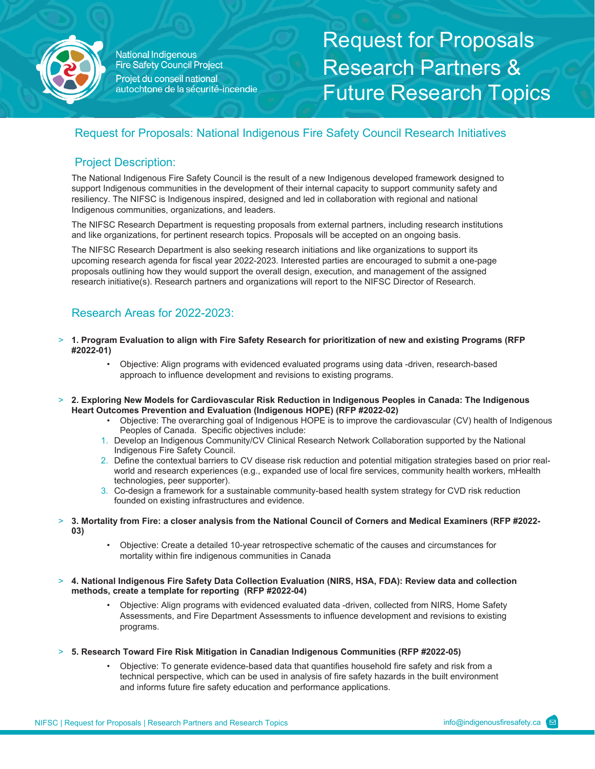

National Indigenous **Fire Safety Council Project** Projet du conseil national autochtone de la sécurité-incendie Request for Proposals Research Partners & Future Research Topics

# Request for Proposals: National Indigenous Fire Safety Council Research Initiatives

## Project Description:

The National Indigenous Fire Safety Council is the result of a new Indigenous developed framework designed to support Indigenous communities in the development of their internal capacity to support community safety and resiliency. The NIFSC is Indigenous inspired, designed and led in collaboration with regional and national Indigenous communities, organizations, and leaders.

The NIFSC Research Department is requesting proposals from external partners, including research institutions and like organizations, for pertinent research topics. Proposals will be accepted on an ongoing basis.

The NIFSC Research Department is also seeking research initiations and like organizations to support its upcoming research agenda for fiscal year 2022-2023. Interested parties are encouraged to submit a one-page proposals outlining how they would support the overall design, execution, and management of the assigned research initiative(s). Research partners and organizations will report to the NIFSC Director of Research.

# Research Areas for 2022-2023:

- > **1. Program Evaluation to align with Fire Safety Research for prioritization of new and existing Programs (RFP #2022-01)** 
	- Objective: Align programs with evidenced evaluated programs using data -driven, research-based approach to influence development and revisions to existing programs.
- > **2. Exploring New Models for Cardiovascular Risk Reduction in Indigenous Peoples in Canada: The Indigenous Heart Outcomes Prevention and Evaluation (Indigenous HOPE) (RFP #2022-02)** 
	- Objective: The overarching goal of Indigenous HOPE is to improve the cardiovascular (CV) health of Indigenous Peoples of Canada. Specific objectives include:
	- 1. Develop an Indigenous Community/CV Clinical Research Network Collaboration supported by the National Indigenous Fire Safety Council.
	- 2. Define the contextual barriers to CV disease risk reduction and potential mitigation strategies based on prior realworld and research experiences (e.g., expanded use of local fire services, community health workers, mHealth technologies, peer supporter).
	- 3. Co-design a framework for a sustainable community-based health system strategy for CVD risk reduction founded on existing infrastructures and evidence.
- > **3. Mortality from Fire: a closer analysis from the National Council of Corners and Medical Examiners (RFP #2022- 03)** 
	- Objective: Create a detailed 10-year retrospective schematic of the causes and circumstances for mortality within fire indigenous communities in Canada
- > **4. National Indigenous Fire Safety Data Collection Evaluation (NIRS, HSA, FDA): Review data and collection methods, create a template for reporting (RFP #2022-04)** 
	- Objective: Align programs with evidenced evaluated data -driven, collected from NIRS, Home Safety Assessments, and Fire Department Assessments to influence development and revisions to existing programs.
- > **5. Research Toward Fire Risk Mitigation in Canadian Indigenous Communities (RFP #2022-05)** 
	- Objective: To generate evidence-based data that quantifies household fire safety and risk from a technical perspective, which can be used in analysis of fire safety hazards in the built environment and informs future fire safety education and performance applications.